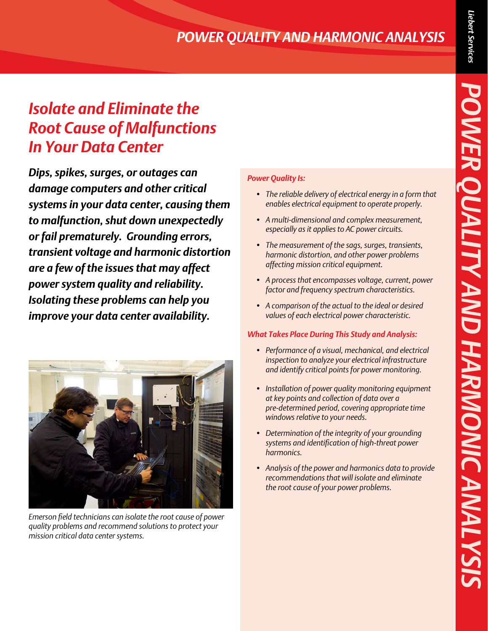# *POWER QUALITY AND HARMONIC ANALYSIS*

## *Isolate and Eliminate the Root Cause of Malfunctions In Your Data Center*

*Dips, spikes, surges, or outages can damage computers and other critical systems in your data center, causing them to malfunction, shut down unexpectedly or fail prematurely. Grounding errors, transient voltage and harmonic distortion are a few of the issues that may affect power system quality and reliability. Isolating these problems can help you improve your data center availability.*



*Emerson field technicians can isolate the root cause of power quality problems and recommend solutions to protect your mission critical data center systems.*

#### *Power Quality Is:*

- *• The reliable delivery of electrical energy in a form that enables electrical equipment to operate properly.*
- *• A multi-dimensional and complex measurement, especially as it applies to AC power circuits.*
- *• The measurement of the sags, surges, transients, harmonic distortion, and other power problems affecting mission critical equipment.*
- *• A process that encompasses voltage, current, power factor and frequency spectrum characteristics.*
- *• A comparison of the actual to the ideal or desired values of each electrical power characteristic.*

#### *What Takes Place During This Study and Analysis:*

- *• Performance of a visual, mechanical, and electrical inspection to analyze your electrical infrastructure and identify critical points for power monitoring.*
- *• Installation of power quality monitoring equipment at key points and collection of data over a pre-determined period, covering appropriate time windows relative to your needs.*
- *• Determination of the integrity of your grounding systems and identification of high-threat power harmonics.*
- *• Analysis of the power and harmonics data to provide recommendations that will isolate and eliminate the root cause of your power problems.*